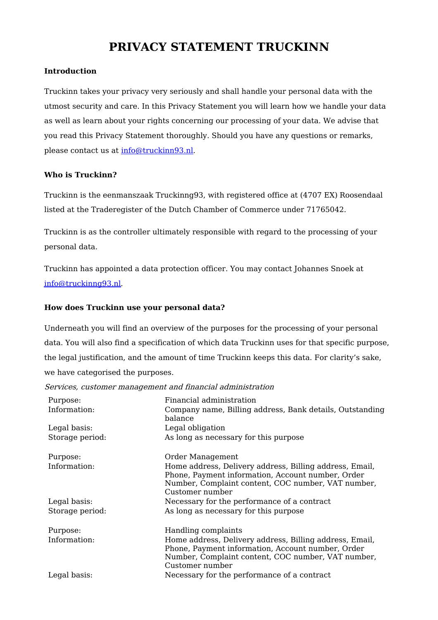# **PRIVACY STATEMENT TRUCKINN**

### **Introduction**

Truckinn takes your privacy very seriously and shall handle your personal data with the utmost security and care. In this Privacy Statement you will learn how we handle your data as well as learn about your rights concerning our processing of your data. We advise that you read this Privacy Statement thoroughly. Should you have any questions or remarks, please contact us at [info@truckinn93.nl](mailto:info@truckinn93.nl).

### **Who is Truckinn?**

Truckinn is the eenmanszaak Truckinng93, with registered office at (4707 EX) Roosendaal listed at the Traderegister of the Dutch Chamber of Commerce under 71765042.

Truckinn is as the controller ultimately responsible with regard to the processing of your personal data.

Truckinn has appointed a data protection officer. You may contact Johannes Snoek at [info@truckinng93.nl](mailto:info@truckinng93.nl).

### **How does Truckinn use your personal data?**

Underneath you will find an overview of the purposes for the processing of your personal data. You will also find a specification of which data Truckinn uses for that specific purpose, the legal justification, and the amount of time Truckinn keeps this data. For clarity's sake, we have categorised the purposes.

Services, customer management and financial administration

| Purpose:        | Financial administration                                                                                                                                                              |
|-----------------|---------------------------------------------------------------------------------------------------------------------------------------------------------------------------------------|
| Information:    | Company name, Billing address, Bank details, Outstanding<br>balance                                                                                                                   |
| Legal basis:    | Legal obligation                                                                                                                                                                      |
| Storage period: | As long as necessary for this purpose                                                                                                                                                 |
| Purpose:        | Order Management                                                                                                                                                                      |
| Information:    | Home address, Delivery address, Billing address, Email,<br>Phone, Payment information, Account number, Order<br>Number, Complaint content, COC number, VAT number,<br>Customer number |
| Legal basis:    | Necessary for the performance of a contract                                                                                                                                           |
| Storage period: | As long as necessary for this purpose                                                                                                                                                 |
| Purpose:        | Handling complaints                                                                                                                                                                   |
| Information:    | Home address, Delivery address, Billing address, Email,<br>Phone, Payment information, Account number, Order<br>Number, Complaint content, COC number, VAT number,<br>Customer number |
| Legal basis:    | Necessary for the performance of a contract                                                                                                                                           |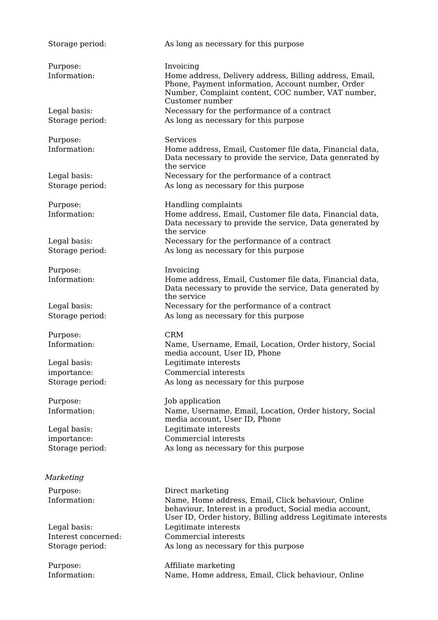| Storage period:          | As long as necessary for this purpose                                                                                                                                                              |
|--------------------------|----------------------------------------------------------------------------------------------------------------------------------------------------------------------------------------------------|
| Purpose:<br>Information: | Invoicing<br>Home address, Delivery address, Billing address, Email,<br>Phone, Payment information, Account number, Order<br>Number, Complaint content, COC number, VAT number,<br>Customer number |
| Legal basis:             | Necessary for the performance of a contract                                                                                                                                                        |
| Storage period:          | As long as necessary for this purpose                                                                                                                                                              |
| Purpose:                 | <b>Services</b>                                                                                                                                                                                    |
| Information:             | Home address, Email, Customer file data, Financial data,<br>Data necessary to provide the service, Data generated by<br>the service                                                                |
| Legal basis:             | Necessary for the performance of a contract                                                                                                                                                        |
| Storage period:          | As long as necessary for this purpose                                                                                                                                                              |
| Purpose:                 | Handling complaints                                                                                                                                                                                |
| Information:             | Home address, Email, Customer file data, Financial data,<br>Data necessary to provide the service, Data generated by<br>the service                                                                |
| Legal basis:             | Necessary for the performance of a contract                                                                                                                                                        |
| Storage period:          | As long as necessary for this purpose                                                                                                                                                              |
| Purpose:                 | Invoicing                                                                                                                                                                                          |
| Information:             | Home address, Email, Customer file data, Financial data,<br>Data necessary to provide the service, Data generated by<br>the service                                                                |
| Legal basis:             | Necessary for the performance of a contract                                                                                                                                                        |
| Storage period:          | As long as necessary for this purpose                                                                                                                                                              |
| Purpose:                 | <b>CRM</b>                                                                                                                                                                                         |
| Information:             | Name, Username, Email, Location, Order history, Social<br>media account, User ID, Phone                                                                                                            |
| Legal basis:             | Legitimate interests                                                                                                                                                                               |
| importance:              | Commercial interests                                                                                                                                                                               |
| Storage period:          | As long as necessary for this purpose                                                                                                                                                              |
| Purpose:                 | Job application                                                                                                                                                                                    |
| Information:             | Name, Username, Email, Location, Order history, Social<br>media account, User ID, Phone                                                                                                            |
| Legal basis:             | Legitimate interests                                                                                                                                                                               |
| importance:              | Commercial interests                                                                                                                                                                               |
| Storage period:          | As long as necessary for this purpose                                                                                                                                                              |
| Marketing                |                                                                                                                                                                                                    |
| Purpose:                 | Direct marketing                                                                                                                                                                                   |
| Information:             | Name, Home address, Email, Click behaviour, Online<br>behaviour, Interest in a product, Social media account,<br>User ID, Order history, Billing address Legitimate interests                      |

Legal basis: Legitimate interests Interest concerned: Commercial interests

Storage period: As long as necessary for this purpose Purpose: Affiliate marketing Information: Name, Home address, Email, Click behaviour, Online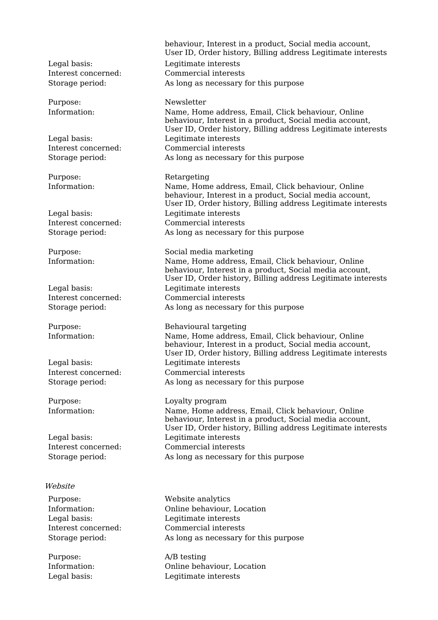Purpose: Retargeting

#### Website

Purpose: A/B testing

behaviour, Interest in a product, Social media account, User ID, Order history, Billing address Legitimate interests Legal basis: Legitimate interests Interest concerned: Commercial interests Storage period: As long as necessary for this purpose

#### Purpose: Newsletter

Information: Name, Home address, Email, Click behaviour, Online behaviour, Interest in a product, Social media account, User ID, Order history, Billing address Legitimate interests Legal basis: Legitimate interests Interest concerned: Commercial interests Storage period: As long as necessary for this purpose

Information: Name, Home address, Email, Click behaviour, Online behaviour, Interest in a product, Social media account, User ID, Order history, Billing address Legitimate interests Legal basis: Legitimate interests Interest concerned: Commercial interests Storage period: As long as necessary for this purpose

Purpose: Social media marketing Information: Name, Home address, Email, Click behaviour, Online behaviour, Interest in a product, Social media account, User ID, Order history, Billing address Legitimate interests Legal basis: Legitimate interests Interest concerned: Commercial interests Storage period: As long as necessary for this purpose

Purpose: Behavioural targeting Information: Name, Home address, Email, Click behaviour, Online behaviour, Interest in a product, Social media account, User ID, Order history, Billing address Legitimate interests Legal basis: Legitimate interests Interest concerned: Commercial interests Storage period: As long as necessary for this purpose

Purpose: Loyalty program Information: Name, Home address, Email, Click behaviour, Online behaviour, Interest in a product, Social media account, User ID, Order history, Billing address Legitimate interests Legal basis: Legitimate interests Interest concerned: Commercial interests Storage period: As long as necessary for this purpose

Purpose: Website analytics Information: Online behaviour, Location Legal basis: Legitimate interests Interest concerned: Commercial interests Storage period: As long as necessary for this purpose

Information: Online behaviour, Location Legal basis: Legitimate interests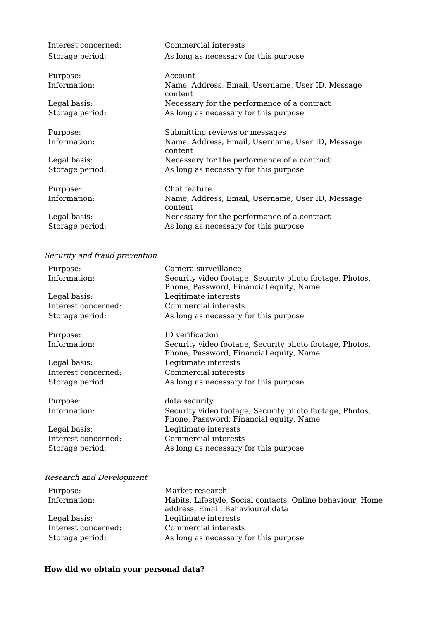| Interest concerned:<br>Storage period: | Commercial interests<br>As long as necessary for this purpose |
|----------------------------------------|---------------------------------------------------------------|
| Purpose:                               | Account.                                                      |
| Information:                           | Name, Address, Email, Username, User ID, Message<br>content   |
| Legal basis:                           | Necessary for the performance of a contract                   |
| Storage period:                        | As long as necessary for this purpose                         |
| Purpose:                               | Submitting reviews or messages                                |
| Information:                           | Name, Address, Email, Username, User ID, Message<br>content   |
| Legal basis:                           | Necessary for the performance of a contract                   |
| Storage period:                        | As long as necessary for this purpose                         |
| Purpose:                               | Chat feature                                                  |
| Information:                           | Name, Address, Email, Username, User ID, Message<br>content   |
| Legal basis:                           | Necessary for the performance of a contract                   |
| Storage period:                        | As long as necessary for this purpose                         |

### Security and fraud prevention

| Purpose:            | Camera surveillance                                                                                |
|---------------------|----------------------------------------------------------------------------------------------------|
| Information:        | Security video footage, Security photo footage, Photos,<br>Phone, Password, Financial equity, Name |
| Legal basis:        | Legitimate interests                                                                               |
| Interest concerned: | Commercial interests                                                                               |
| Storage period:     | As long as necessary for this purpose                                                              |
| Purpose:            | ID verification                                                                                    |
| Information:        | Security video footage, Security photo footage, Photos,<br>Phone, Password, Financial equity, Name |
| Legal basis:        | Legitimate interests                                                                               |
| Interest concerned: | Commercial interests                                                                               |
| Storage period:     | As long as necessary for this purpose                                                              |
| Purpose:            | data security                                                                                      |
| Information:        | Security video footage, Security photo footage, Photos,<br>Phone, Password, Financial equity, Name |
| Legal basis:        | Legitimate interests                                                                               |
| Interest concerned: | Commercial interests                                                                               |
| Storage period:     | As long as necessary for this purpose                                                              |
|                     |                                                                                                    |

## Research and Development

| Purpose:            | Market research                                                                                |
|---------------------|------------------------------------------------------------------------------------------------|
| Information:        | Habits, Lifestyle, Social contacts, Online behaviour, Home<br>address, Email, Behavioural data |
| Legal basis:        | Legitimate interests                                                                           |
| Interest concerned: | Commercial interests                                                                           |
| Storage period:     | As long as necessary for this purpose                                                          |

## **How did we obtain your personal data?**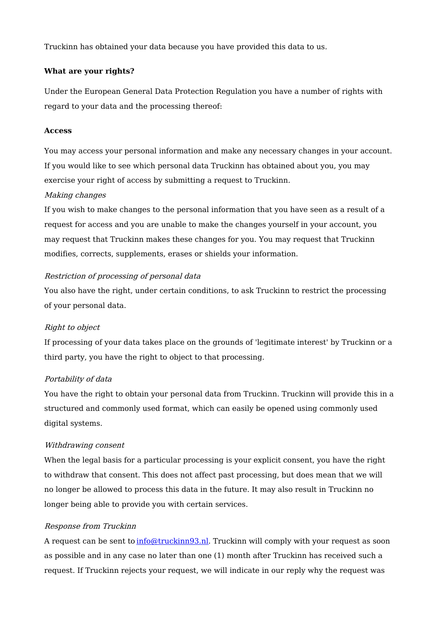Truckinn has obtained your data because you have provided this data to us.

#### **What are your rights?**

Under the European General Data Protection Regulation you have a number of rights with regard to your data and the processing thereof:

#### **Access**

You may access your personal information and make any necessary changes in your account. If you would like to see which personal data Truckinn has obtained about you, you may exercise your right of access by submitting a request to Truckinn.

#### Making changes

If you wish to make changes to the personal information that you have seen as a result of a request for access and you are unable to make the changes yourself in your account, you may request that Truckinn makes these changes for you. You may request that Truckinn modifies, corrects, supplements, erases or shields your information.

### Restriction of processing of personal data

You also have the right, under certain conditions, to ask Truckinn to restrict the processing of your personal data.

### Right to object

If processing of your data takes place on the grounds of 'legitimate interest' by Truckinn or a third party, you have the right to object to that processing.

### Portability of data

You have the right to obtain your personal data from Truckinn. Truckinn will provide this in a structured and commonly used format, which can easily be opened using commonly used digital systems.

### Withdrawing consent

When the legal basis for a particular processing is your explicit consent, you have the right to withdraw that consent. This does not affect past processing, but does mean that we will no longer be allowed to process this data in the future. It may also result in Truckinn no longer being able to provide you with certain services.

#### Response from Truckinn

A request can be sent to [info@truckinn93.nl](mailto:info@truckinn93.nl). Truckinn will comply with your request as soon as possible and in any case no later than one (1) month after Truckinn has received such a request. If Truckinn rejects your request, we will indicate in our reply why the request was